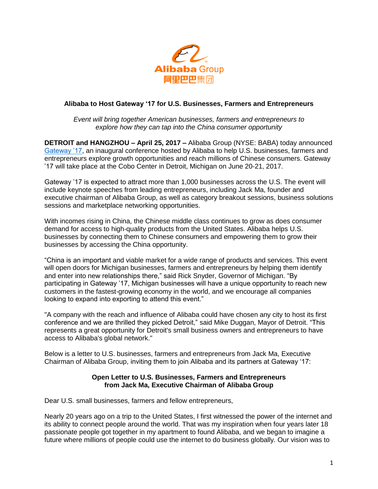

## **Alibaba to Host Gateway '17 for U.S. Businesses, Farmers and Entrepreneurs**

*Event will bring together American businesses, farmers and entrepreneurs to explore how they can tap into the China consumer opportunity*

**DETROIT and HANGZHOU – April 25, 2017 –** Alibaba Group (NYSE: BABA) today announced [Gateway '17,](http://www.gateway17.com/) an inaugural conference hosted by Alibaba to help U.S. businesses, farmers and entrepreneurs explore growth opportunities and reach millions of Chinese consumers. Gateway '17 will take place at the Cobo Center in Detroit, Michigan on June 20-21, 2017.

Gateway '17 is expected to attract more than 1,000 businesses across the U.S. The event will include keynote speeches from leading entrepreneurs, including Jack Ma, founder and executive chairman of Alibaba Group, as well as category breakout sessions, business solutions sessions and marketplace networking opportunities.

With incomes rising in China, the Chinese middle class continues to grow as does consumer demand for access to high-quality products from the United States. Alibaba helps U.S. businesses by connecting them to Chinese consumers and empowering them to grow their businesses by accessing the China opportunity.

"China is an important and viable market for a wide range of products and services. This event will open doors for Michigan businesses, farmers and entrepreneurs by helping them identify and enter into new relationships there," said Rick Snyder, Governor of Michigan. "By participating in Gateway '17, Michigan businesses will have a unique opportunity to reach new customers in the fastest-growing economy in the world, and we encourage all companies looking to expand into exporting to attend this event."

"A company with the reach and influence of Alibaba could have chosen any city to host its first conference and we are thrilled they picked Detroit," said Mike Duggan, Mayor of Detroit. "This represents a great opportunity for Detroit's small business owners and entrepreneurs to have access to Alibaba's global network."

Below is a letter to U.S. businesses, farmers and entrepreneurs from Jack Ma, Executive Chairman of Alibaba Group, inviting them to join Alibaba and its partners at Gateway '17:

#### **Open Letter to U.S. Businesses, Farmers and Entrepreneurs from Jack Ma, Executive Chairman of Alibaba Group**

Dear U.S. small businesses, farmers and fellow entrepreneurs,

Nearly 20 years ago on a trip to the United States, I first witnessed the power of the internet and its ability to connect people around the world. That was my inspiration when four years later 18 passionate people got together in my apartment to found Alibaba, and we began to imagine a future where millions of people could use the internet to do business globally. Our vision was to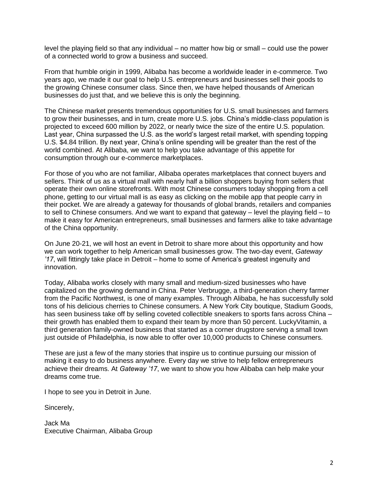level the playing field so that any individual – no matter how big or small – could use the power of a connected world to grow a business and succeed.

From that humble origin in 1999, Alibaba has become a worldwide leader in e-commerce. Two years ago, we made it our goal to help U.S. entrepreneurs and businesses sell their goods to the growing Chinese consumer class. Since then, we have helped thousands of American businesses do just that, and we believe this is only the beginning.

The Chinese market presents tremendous opportunities for U.S. small businesses and farmers to grow their businesses, and in turn, create more U.S. jobs. China's middle-class population is projected to exceed 600 million by 2022, or nearly twice the size of the entire U.S. population. Last year, China surpassed the U.S. as the world's largest retail market, with spending topping U.S. \$4.84 trillion. By next year, China's online spending will be greater than the rest of the world combined. At Alibaba, we want to help you take advantage of this appetite for consumption through our e-commerce marketplaces.

For those of you who are not familiar, Alibaba operates marketplaces that connect buyers and sellers. Think of us as a virtual mall with nearly half a billion shoppers buying from sellers that operate their own online storefronts. With most Chinese consumers today shopping from a cell phone, getting to our virtual mall is as easy as clicking on the mobile app that people carry in their pocket. We are already a gateway for thousands of global brands, retailers and companies to sell to Chinese consumers. And we want to expand that gateway – level the playing field – to make it easy for American entrepreneurs, small businesses and farmers alike to take advantage of the China opportunity.

On June 20-21, we will host an event in Detroit to share more about this opportunity and how we can work together to help American small businesses grow. The two-day event, *Gateway '17*, will fittingly take place in Detroit – home to some of America's greatest ingenuity and innovation.

Today, Alibaba works closely with many small and medium-sized businesses who have capitalized on the growing demand in China. Peter Verbrugge, a third-generation cherry farmer from the Pacific Northwest, is one of many examples. Through Alibaba, he has successfully sold tons of his delicious cherries to Chinese consumers. A New York City boutique, Stadium Goods, has seen business take off by selling coveted collectible sneakers to sports fans across China – their growth has enabled them to expand their team by more than 50 percent. LuckyVitamin, a third generation family-owned business that started as a corner drugstore serving a small town just outside of Philadelphia, is now able to offer over 10,000 products to Chinese consumers.

These are just a few of the many stories that inspire us to continue pursuing our mission of making it easy to do business anywhere. Every day we strive to help fellow entrepreneurs achieve their dreams. At *Gateway '17*, we want to show you how Alibaba can help make your dreams come true.

I hope to see you in Detroit in June.

Sincerely,

Jack Ma Executive Chairman, Alibaba Group